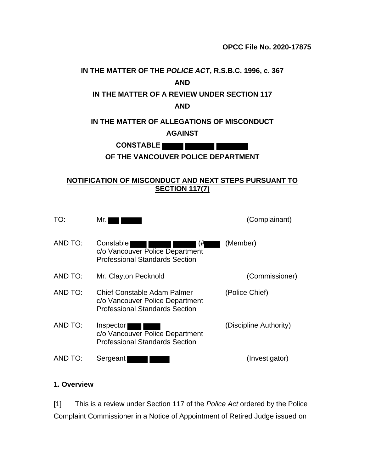# **IN THE MATTER OF THE** *POLICE ACT***, R.S.B.C. 1996, c. 367 AND IN THE MATTER OF A REVIEW UNDER SECTION 117 AND IN THE MATTER OF ALLEGATIONS OF MISCONDUCT AGAINST CONSTABLE OF THE VANCOUVER POLICE DEPARTMENT**

#### **NOTIFICATION OF MISCONDUCT AND NEXT STEPS PURSUANT TO SECTION 117(7)**

| TO:     | Mr.                                                                                                     | (Complainant)          |
|---------|---------------------------------------------------------------------------------------------------------|------------------------|
| AND TO: | Constable  <br>(#<br>c/o Vancouver Police Department<br><b>Professional Standards Section</b>           | (Member)               |
| AND TO: | Mr. Clayton Pecknold                                                                                    | (Commissioner)         |
| AND TO: | Chief Constable Adam Palmer<br>c/o Vancouver Police Department<br><b>Professional Standards Section</b> | (Police Chief)         |
| AND TO: | Inspector<br>c/o Vancouver Police Department<br><b>Professional Standards Section</b>                   | (Discipline Authority) |
| AND TO: | Sergeant                                                                                                | (Investigator)         |

#### **1. Overview**

[1] This is a review under Section 117 of the *Police Act* ordered by the Police Complaint Commissioner in a Notice of Appointment of Retired Judge issued on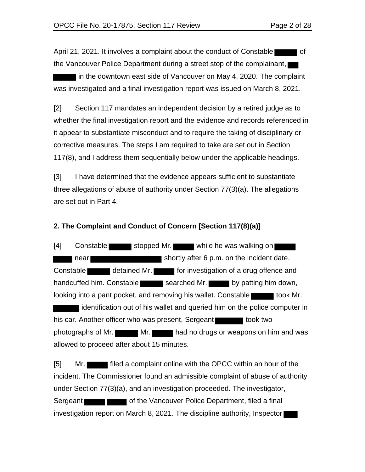April 21, 2021. It involves a complaint about the conduct of Constable  $\blacksquare$  of the Vancouver Police Department during a street stop of the complainant,

I in the downtown east side of Vancouver on May 4, 2020. The complaint was investigated and a final investigation report was issued on March 8, 2021.

[2] Section 117 mandates an independent decision by a retired judge as to whether the final investigation report and the evidence and records referenced in it appear to substantiate misconduct and to require the taking of disciplinary or corrective measures. The steps I am required to take are set out in Section 117(8), and I address them sequentially below under the applicable headings.

[3] I have determined that the evidence appears sufficient to substantiate three allegations of abuse of authority under Section 77(3)(a). The allegations are set out in Part 4.

#### **2. The Complaint and Conduct of Concern [Section 117(8)(a)]**

[4] Constable stopped Mr. while he was walking on I near shortly after 6 p.m. on the incident date. Constable detained Mr. **For investigation of a drug offence and** handcuffed him. Constable searched Mr. by patting him down, looking into a pant pocket, and removing his wallet. Constable identification out of his wallet and queried him on the police computer in his car. Another officer who was present, Sergeant photographs of Mr. Mr. Mr. had no drugs or weapons on him and was allowed to proceed after about 15 minutes.

[5] Mr. incident. The Commissioner found an admissible complaint of abuse of authority under Section 77(3)(a), and an investigation proceeded. The investigator, Sergeant **Contract Contract of the Vancouver Police Department, filed a final** investigation report on March 8, 2021. The discipline authority, Inspector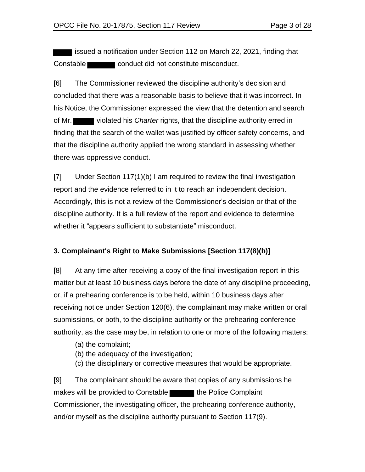issued a notification under Section 112 on March 22, 2021, finding that Constable **conduct** did not constitute misconduct.

[6] The Commissioner reviewed the discipline authority's decision and concluded that there was a reasonable basis to believe that it was incorrect. In his Notice, the Commissioner expressed the view that the detention and search of Mr. violated his *Charter* rights, that the discipline authority erred in finding that the search of the wallet was justified by officer safety concerns, and that the discipline authority applied the wrong standard in assessing whether there was oppressive conduct.

[7] Under Section 117(1)(b) I am required to review the final investigation report and the evidence referred to in it to reach an independent decision. Accordingly, this is not a review of the Commissioner's decision or that of the discipline authority. It is a full review of the report and evidence to determine whether it "appears sufficient to substantiate" misconduct.

### **3. Complainant's Right to Make Submissions [Section 117(8)(b)]**

[8] At any time after receiving a copy of the final investigation report in this matter but at least 10 business days before the date of any discipline proceeding, or, if a prehearing conference is to be held, within 10 business days after receiving notice under Section 120(6), the complainant may make written or oral submissions, or both, to the discipline authority or the prehearing conference authority, as the case may be, in relation to one or more of the following matters:

- (a) the complaint;
- (b) the adequacy of the investigation;
- (c) the disciplinary or corrective measures that would be appropriate.

[9] The complainant should be aware that copies of any submissions he makes will be provided to Constable the Police Complaint Commissioner, the investigating officer, the prehearing conference authority, and/or myself as the discipline authority pursuant to Section 117(9).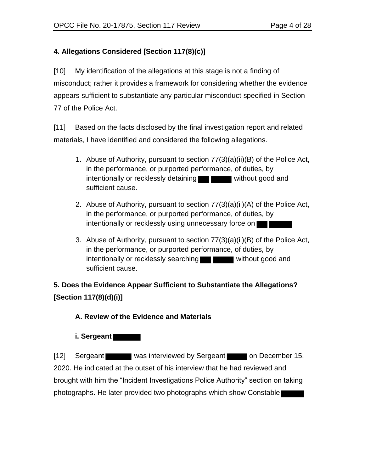# **4. Allegations Considered [Section 117(8)(c)]**

[10] My identification of the allegations at this stage is not a finding of misconduct; rather it provides a framework for considering whether the evidence appears sufficient to substantiate any particular misconduct specified in Section 77 of the Police Act.

[11] Based on the facts disclosed by the final investigation report and related materials, I have identified and considered the following allegations.

- 1. Abuse of Authority, pursuant to section 77(3)(a)(ii)(B) of the Police Act, in the performance, or purported performance, of duties, by intentionally or recklessly detaining **without good and** sufficient cause.
- 2. Abuse of Authority, pursuant to section 77(3)(a)(ii)(A) of the Police Act, in the performance, or purported performance, of duties, by intentionally or recklessly using unnecessary force on
- 3. Abuse of Authority, pursuant to section 77(3)(a)(ii)(B) of the Police Act, in the performance, or purported performance, of duties, by intentionally or recklessly searching **without good and** sufficient cause.

# **5. Does the Evidence Appear Sufficient to Substantiate the Allegations? [Section 117(8)(d)(i)]**

# **A. Review of the Evidence and Materials**

# **i. Sergeant**

[12] Sergeant was interviewed by Sergeant on December 15, 2020. He indicated at the outset of his interview that he had reviewed and brought with him the "Incident Investigations Police Authority" section on taking photographs. He later provided two photographs which show Constable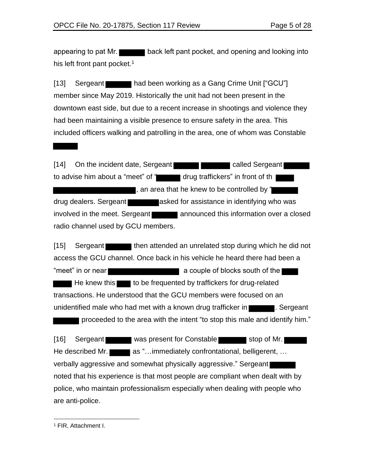appearing to pat Mr. his left front pant pocket.<sup>1</sup>

[13] Sergeant had been working as a Gang Crime Unit ["GCU"] member since May 2019. Historically the unit had not been present in the downtown east side, but due to a recent increase in shootings and violence they had been maintaining a visible presence to ensure safety in the area. This included officers walking and patrolling in the area, one of whom was Constable

[14] On the incident date, Sergeant **called Sergeant** to advise him about a "meet" of " drug traffickers" in front of th , an area that he knew to be controlled by " drug dealers. Sergeant asked for assistance in identifying who was involved in the meet. Sergeant announced this information over a closed radio channel used by GCU members.

[15] Sergeant then attended an unrelated stop during which he did not access the GCU channel. Once back in his vehicle he heard there had been a "meet" in or near **a couple of blocks** south of the He knew this to be frequented by traffickers for drug-related transactions. He understood that the GCU members were focused on an unidentified male who had met with a known drug trafficker in **the sume of the Superiant**. Sergeant proceeded to the area with the intent "to stop this male and identify him."

[16] Sergeant was present for Constable stop of Mr. He described Mr. **as "...immediately confrontational, belligerent, ...** verbally aggressive and somewhat physically aggressive." Sergeant noted that his experience is that most people are compliant when dealt with by police, who maintain professionalism especially when dealing with people who are anti-police.

<sup>1</sup> FIR, Attachment I.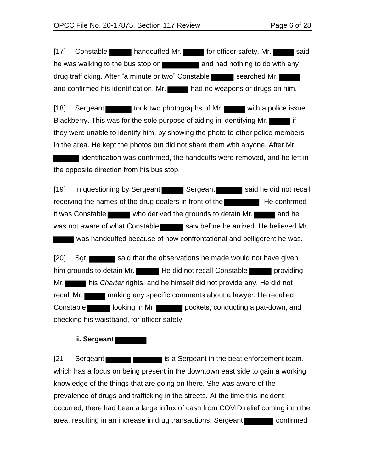[17] Constable handcuffed Mr. for officer safety. Mr. said he was walking to the bus stop on **the and had nothing to do with any** drug trafficking. After "a minute or two" Constable searched Mr. and confirmed his identification. Mr. had no weapons or drugs on him.

[18] Sergeant took two photographs of Mr. with a police issue Blackberry. This was for the sole purpose of aiding in identifying Mr. they were unable to identify him, by showing the photo to other police members in the area. He kept the photos but did not share them with anyone. After Mr.

identification was confirmed, the handcuffs were removed, and he left in the opposite direction from his bus stop.

[19] In questioning by Sergeant Sergeant Sergeant Said he did not recall receiving the names of the drug dealers in front of the  $\blacksquare$  He confirmed it was Constable who derived the grounds to detain Mr. was not aware of what Constable saw before he arrived. He believed Mr. was handcuffed because of how confrontational and belligerent he was.

[20] Sqt. said that the observations he made would not have given him grounds to detain Mr. He did not recall Constable **providing** Mr. his *Charter* rights, and he himself did not provide any. He did not recall Mr. Constable **looking in Mr. looking in Mr.** pockets, conducting a pat-down, and checking his waistband, for officer safety.

**ii. Sergeant** 

[21] Sergeant **in the set of the set of sergeant** in the beat enforcement team, which has a focus on being present in the downtown east side to gain a working knowledge of the things that are going on there. She was aware of the prevalence of drugs and trafficking in the streets. At the time this incident occurred, there had been a large influx of cash from COVID relief coming into the area, resulting in an increase in drug transactions. Sergeant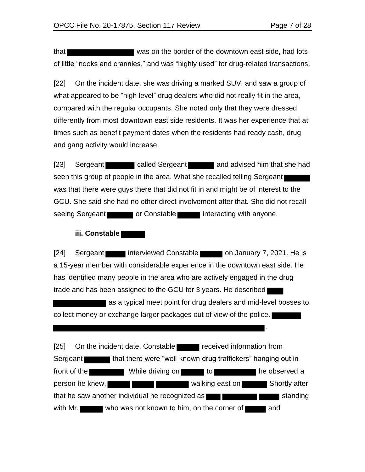.

that was on the border of the downtown east side, had lots of little "nooks and crannies," and was "highly used" for drug-related transactions.

[22] On the incident date, she was driving a marked SUV, and saw a group of what appeared to be "high level" drug dealers who did not really fit in the area, compared with the regular occupants. She noted only that they were dressed differently from most downtown east side residents. It was her experience that at times such as benefit payment dates when the residents had ready cash, drug and gang activity would increase.

[23] Sergeant called Sergeant and advised him that she had seen this group of people in the area. What she recalled telling Sergeant was that there were guys there that did not fit in and might be of interest to the GCU. She said she had no other direct involvement after that. She did not recall seeing Sergeant **or Constable interacting with anyone.** 

#### **iii. Constable**

[24] Sergeant interviewed Constable on January 7, 2021. He is a 15-year member with considerable experience in the downtown east side. He has identified many people in the area who are actively engaged in the drug trade and has been assigned to the GCU for 3 years. He described

as a typical meet point for drug dealers and mid-level bosses to collect money or exchange larger packages out of view of the police.

[25] On the incident date, Constable received information from Sergeant **that there were "well-known drug traffickers"** hanging out in front of the **While driving on** to to he observed a person he knew, walking east on Shortly after that he saw another individual he recognized as  $\blacksquare$ with Mr. who was not known to him, on the corner of  $\blacksquare$  and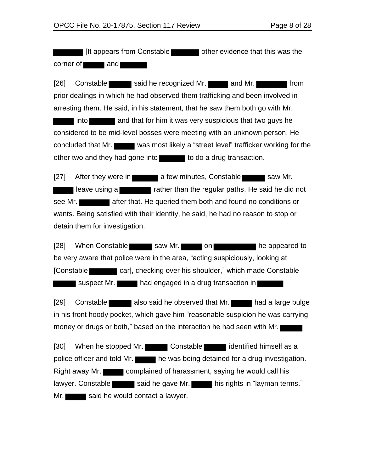If It appears from Constable **Communist Constant Constant** other evidence that this was the  $corner of$  and

[26] Constable said he recognized Mr. and Mr. from prior dealings in which he had observed them trafficking and been involved in arresting them. He said, in his statement, that he saw them both go with Mr.

into **and that for him it was very suspicious that two guys he** considered to be mid-level bosses were meeting with an unknown person. He concluded that Mr. was most likely a "street level" trafficker working for the other two and they had gone into the to do a drug transaction.

[27] After they were in **a few minutes, Constable saw Mr. rather in the regular paths. He said he did not** rather than the regular paths. He said he did not see Mr. wants. Being satisfied with their identity, he said, he had no reason to stop or detain them for investigation.

[28] When Constable saw Mr. on he appeared to be very aware that police were in the area, "acting suspiciously, looking at [Constable car], checking over his shoulder," which made Constable suspect Mr. had engaged in a drug transaction in

[29] Constable also said he observed that Mr. had a large bulge in his front hoody pocket, which gave him "reasonable suspicion he was carrying money or drugs or both," based on the interaction he had seen with Mr.

[30] When he stopped Mr. Constable identified himself as a police officer and told Mr. he was being detained for a drug investigation. Right away Mr. complained of harassment, saying he would call his lawyer. Constable said he gave Mr. his rights in "layman terms."  $Mr.$  said he would contact a lawyer.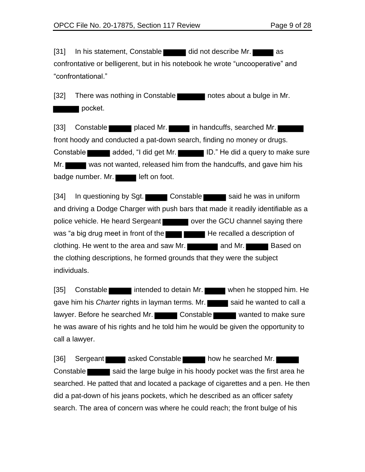[31] In his statement, Constable did not describe Mr. as confrontative or belligerent, but in his notebook he wrote "uncooperative" and "confrontational."

[32] There was nothing in Constable **notes** about a bulge in Mr. pocket.

[33] Constable placed Mr. in handcuffs, searched Mr. front hoody and conducted a pat-down search, finding no money or drugs. Constable **and added, "I did get Mr.** ID." He did a query to make sure Mr. was not wanted, released him from the handcuffs, and gave him his badge number. Mr.

[34] In questioning by Sgt. Constable said he was in uniform and driving a Dodge Charger with push bars that made it readily identifiable as a police vehicle. He heard Sergeant over the GCU channel saying there was "a big drug meet in front of the  $\blacksquare$  He recalled a description of clothing. He went to the area and saw Mr. **All and Mr. All and Mr.** Based on the clothing descriptions, he formed grounds that they were the subject individuals.

[35] Constable intended to detain Mr. when he stopped him. He gave him his *Charter* rights in layman terms. Mr. said he wanted to call a lawyer. Before he searched Mr. Constable wanted to make sure he was aware of his rights and he told him he would be given the opportunity to call a lawyer.

[36] Sergeant asked Constable how he searched Mr. Constable said the large bulge in his hoody pocket was the first area he searched. He patted that and located a package of cigarettes and a pen. He then did a pat-down of his jeans pockets, which he described as an officer safety search. The area of concern was where he could reach; the front bulge of his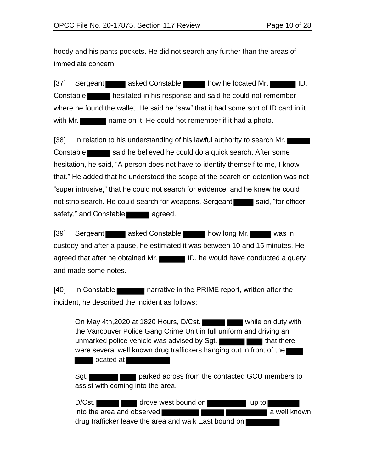hoody and his pants pockets. He did not search any further than the areas of immediate concern.

[37] Sergeant asked Constable how he located Mr. Constable hesitated in his response and said he could not remember where he found the wallet. He said he "saw" that it had some sort of ID card in it with Mr. name on it. He could not remember if it had a photo.

[38] In relation to his understanding of his lawful authority to search Mr. Constable said he believed he could do a quick search. After some hesitation, he said, "A person does not have to identify themself to me, I know that." He added that he understood the scope of the search on detention was not "super intrusive," that he could not search for evidence, and he knew he could not strip search. He could search for weapons. Sergeant said, "for officer safety," and Constable

[39] Sergeant asked Constable how long Mr. was in custody and after a pause, he estimated it was between 10 and 15 minutes. He agreed that after he obtained Mr. ID, he would have conducted a query and made some notes.

[40] In Constable narrative in the PRIME report, written after the incident, he described the incident as follows:

On May 4th, 2020 at 1820 Hours, D/Cst. the Vancouver Police Gang Crime Unit in full uniform and driving an unmarked police vehicle was advised by Sgt.  $\Box$ were several well known drug traffickers hanging out in front of the **The contract of a** 

Sqt. **parked across from the contacted GCU members to** assist with coming into the area.

| D/Cst. | drove west bound on                                   |  | $up$ to        |  |
|--------|-------------------------------------------------------|--|----------------|--|
|        | into the area and observed <b>T</b>                   |  | I a well known |  |
|        | drug trafficker leave the area and walk East bound on |  |                |  |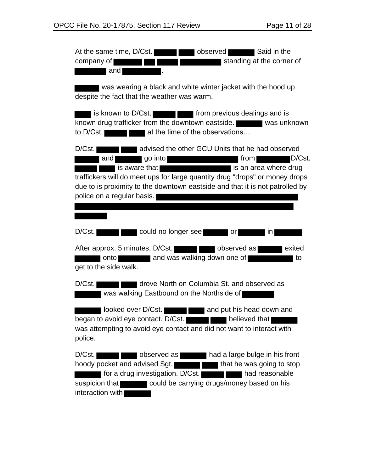| At the same time, D/Cst.<br>Said in the<br>observed<br>standing at the corner of<br>company of<br>and                                                                                                                                                                                                                                   |
|-----------------------------------------------------------------------------------------------------------------------------------------------------------------------------------------------------------------------------------------------------------------------------------------------------------------------------------------|
| was wearing a black and white winter jacket with the hood up<br>despite the fact that the weather was warm.                                                                                                                                                                                                                             |
| is known to D/Cst.<br>known drug trafficker from the downtown eastside.<br>was unknown<br>at the time of the observations<br>to D/Cst.                                                                                                                                                                                                  |
| advised the other GCU Units that he had observed<br>D/Cst.<br>go into<br>D/Cst.<br>and<br>from  <br>is aware that<br>is an area where drug<br>traffickers will do meet ups for large quantity drug "drops" or money drops<br>due to is proximity to the downtown eastside and that it is not patrolled by<br>police on a regular basis. |
| D/Cst.<br>could no longer see<br>in<br>or                                                                                                                                                                                                                                                                                               |
| After approx. 5 minutes, D/Cst.<br>observed as<br>exited<br>Ι<br>onto and was walking down one of<br>to<br>get to the side walk.                                                                                                                                                                                                        |
| D/Cst.<br>drove North on Columbia St. and observed as<br>was walking Eastbound on the Northside of                                                                                                                                                                                                                                      |
| looked over D/Cst.<br>and put his head down and<br>began to avoid eye contact. D/Cst.<br>believed that<br>was attempting to avoid eye contact and did not want to interact with<br>police.                                                                                                                                              |
| D/Cst.<br>observed as<br>had a large bulge in his front<br>hoody pocket and advised Sgt.<br>that he was going to stop<br>for a drug investigation. D/Cst.<br>had reasonable<br>could be carrying drugs/money based on his<br>suspicion that<br>interaction with                                                                         |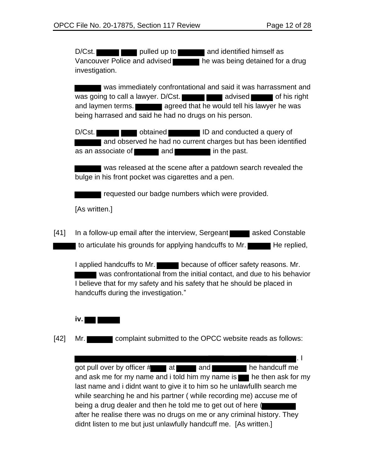D/Cst. **pulled up to and identified himself as** Vancouver Police and advised he was being detained for a drug investigation.

 was immediately confrontational and said it was harrassment and was going to call a lawyer. D/Cst. **and a summand advised and response of his right** and laymen terms. **All and support and agreed that he would tell his lawyer he was** being harrased and said he had no drugs on his person.

D/Cst. **ID and conducted a query of** D/Cst. and observed he had no current charges but has been identified as an associate of **and in the past.** 

was released at the scene after a patdown search revealed the bulge in his front pocket was cigarettes and a pen.

requested our badge numbers which were provided.

[As written.]

[41] In a follow-up email after the interview, Sergeant asked Constable I to articulate his grounds for applying handcuffs to Mr.

I applied handcuffs to Mr. because of officer safety reasons. Mr. was confrontational from the initial contact, and due to his behavior I believe that for my safety and his safety that he should be placed in handcuffs during the investigation."



[42] Mr. **complaint submitted to the OPCC website reads as follows:** 

. I got pull over by officer  $#$  at and  $\blacksquare$  and  $\blacksquare$  and  $\blacksquare$  he handcuff me and ask me for my name and i told him my name is  $\blacksquare$  he then ask for my last name and i didnt want to give it to him so he unlawfullh search me while searching he and his partner ( while recording me) accuse me of being a drug dealer and then he told me to get out of here ( after he realise there was no drugs on me or any criminal history. They didnt listen to me but just unlawfully handcuff me. [As written.]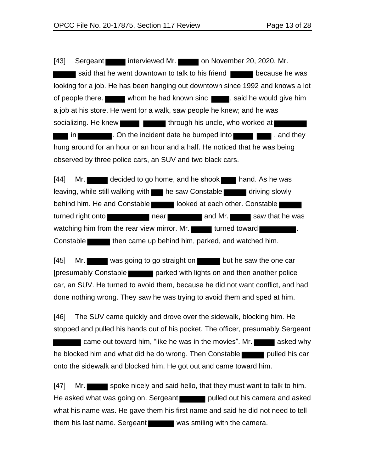[43] Sergeant interviewed Mr. on November 20, 2020. Mr. said that he went downtown to talk to his friend **because he was** looking for a job. He has been hanging out downtown since 1992 and knows a lot of people there. whom he had known sinc , said he would give him a job at his store. He went for a walk, saw people he knew; and he was socializing. He knew **through his uncle, who worked at** in **Example 2**. On the incident date he bumped into **the same interval and solution**, and they hung around for an hour or an hour and a half. He noticed that he was being observed by three police cars, an SUV and two black cars.

[44] Mr. decided to go home, and he shook hand. As he was leaving, while still walking with he saw Constable driving slowly behind him. He and Constable looked at each other. Constable turned right onto **near** near and Mr. Saw that he was watching him from the rear view mirror. Mr. **turned toward** Constable then came up behind him, parked, and watched him.

[45] Mr. was going to go straight on but he saw the one car [presumably Constable | parked with lights on and then another police car, an SUV. He turned to avoid them, because he did not want conflict, and had done nothing wrong. They saw he was trying to avoid them and sped at him.

[46] The SUV came quickly and drove over the sidewalk, blocking him. He stopped and pulled his hands out of his pocket. The officer, presumably Sergeant came out toward him, "like he was in the movies". Mr. he blocked him and what did he do wrong. Then Constable pulled his car onto the sidewalk and blocked him. He got out and came toward him.

[47] Mr. He asked what was going on. Sergeant pulled out his camera and asked what his name was. He gave them his first name and said he did not need to tell them his last name. Sergeant was smiling with the camera.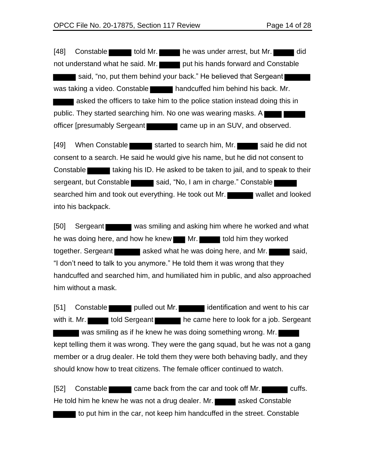[48] Constable told Mr. he was under arrest, but Mr. did not understand what he said. Mr. put his hands forward and Constable said, "no, put them behind your back." He believed that Sergeant was taking a video. Constable handcuffed him behind his back. Mr. asked the officers to take him to the police station instead doing this in public. They started searching him. No one was wearing masks. A officer [presumably Sergeant came up in an SUV, and observed.

[49] When Constable started to search him, Mr. said he did not consent to a search. He said he would give his name, but he did not consent to Constable **that i** taking his ID. He asked to be taken to jail, and to speak to their sergeant, but Constable said, "No, I am in charge." Constable searched him and took out everything. He took out Mr. into his backpack.

[50] Sergeant was smiling and asking him where he worked and what he was doing here, and how he knew Mr. Not told him they worked together. Sergeant asked what he was doing here, and Mr. "I don't need to talk to you anymore." He told them it was wrong that they handcuffed and searched him, and humiliated him in public, and also approached him without a mask.

[51] Constable pulled out Mr. identification and went to his car with it. Mr. told Sergeant he came here to look for a job. Sergeant was smiling as if he knew he was doing something wrong. Mr. kept telling them it was wrong. They were the gang squad, but he was not a gang member or a drug dealer. He told them they were both behaving badly, and they should know how to treat citizens. The female officer continued to watch.

[52] Constable came back from the car and took off Mr. He told him he knew he was not a drug dealer. Mr. **All asked Constable** to put him in the car, not keep him handcuffed in the street. Constable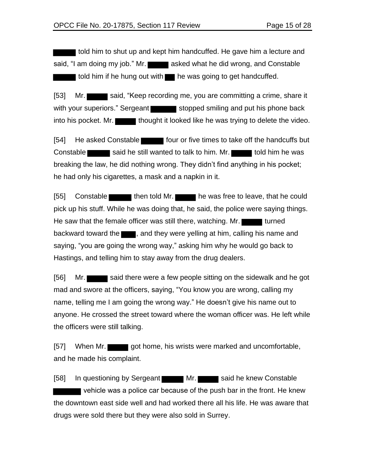I told him to shut up and kept him handcuffed. He gave him a lecture and said, "I am doing my job." Mr. asked what he did wrong, and Constable I told him if he hung out with **the was going to get handcuffed.** 

[53] Mr. said, "Keep recording me, you are committing a crime, share it with your superiors." Sergeant stopped smiling and put his phone back into his pocket. Mr. **thought it looked like he was trying to delete the video.** 

[54] He asked Constable **Fall of the times to take off the handcuffs but** Constable said he still wanted to talk to him. Mr. told him he was breaking the law, he did nothing wrong. They didn't find anything in his pocket; he had only his cigarettes, a mask and a napkin in it.

[55] Constable then told Mr. he was free to leave, that he could pick up his stuff. While he was doing that, he said, the police were saying things. He saw that the female officer was still there, watching. Mr. backward toward the  $\blacksquare$ , and they were yelling at him, calling his name and saying, "you are going the wrong way," asking him why he would go back to Hastings, and telling him to stay away from the drug dealers.

[56] Mr. mad and swore at the officers, saying, "You know you are wrong, calling my name, telling me I am going the wrong way." He doesn't give his name out to anyone. He crossed the street toward where the woman officer was. He left while the officers were still talking.

[57] When Mr. got home, his wrists were marked and uncomfortable, and he made his complaint.

[58] In questioning by Sergeant Mr. Said he knew Constable vehicle was a police car because of the push bar in the front. He knew the downtown east side well and had worked there all his life. He was aware that drugs were sold there but they were also sold in Surrey.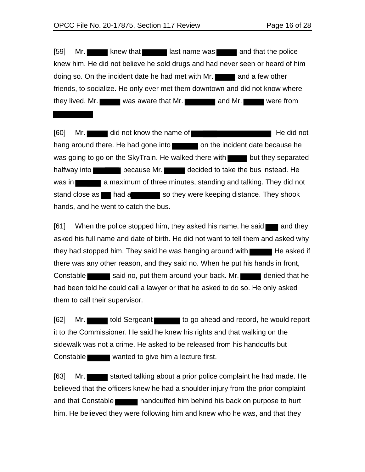[59] Mr. knew that last name was and that the police knew him. He did not believe he sold drugs and had never seen or heard of him doing so. On the incident date he had met with  $Mr.$  and a few other friends, to socialize. He only ever met them downtown and did not know where they lived. Mr. was aware that Mr. **and Mr.** and Mr. were from

[60] Mr. did not know the name of He did not hang around there. He had gone into  $\Box$  on the incident date because he was going to go on the SkyTrain. He walked there with  $\Box$  but they separated halfway into **because Mr.** decided to take the bus instead. He was in **a maximum** of three minutes, standing and talking. They did not stand close as had a so they were keeping distance. They shook hands, and he went to catch the bus.

 $[61]$  When the police stopped him, they asked his name, he said and they asked his full name and date of birth. He did not want to tell them and asked why they had stopped him. They said he was hanging around with  $\blacksquare$  He asked if there was any other reason, and they said no. When he put his hands in front, Constable said no, put them around your back. Mr. had been told he could call a lawyer or that he asked to do so. He only asked them to call their supervisor.

[62] Mr. told Sergeant to go ahead and record, he would report it to the Commissioner. He said he knew his rights and that walking on the sidewalk was not a crime. He asked to be released from his handcuffs but Constable wanted to give him a lecture first.

[63] Mr. started talking about a prior police complaint he had made. He believed that the officers knew he had a shoulder injury from the prior complaint and that Constable handcuffed him behind his back on purpose to hurt him. He believed they were following him and knew who he was, and that they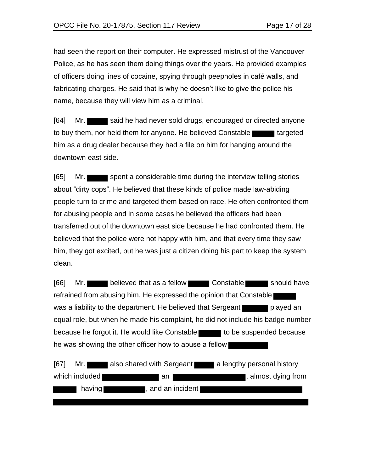had seen the report on their computer. He expressed mistrust of the Vancouver Police, as he has seen them doing things over the years. He provided examples of officers doing lines of cocaine, spying through peepholes in café walls, and fabricating charges. He said that is why he doesn't like to give the police his name, because they will view him as a criminal.

[64] Mr. to buy them, nor held them for anyone. He believed Constable him as a drug dealer because they had a file on him for hanging around the downtown east side.

[65] Mr. spent a considerable time during the interview telling stories about "dirty cops". He believed that these kinds of police made law-abiding people turn to crime and targeted them based on race. He often confronted them for abusing people and in some cases he believed the officers had been transferred out of the downtown east side because he had confronted them. He believed that the police were not happy with him, and that every time they saw him, they got excited, but he was just a citizen doing his part to keep the system clean.

[66] Mr. believed that as a fellow Constable should have refrained from abusing him. He expressed the opinion that Constable was a liability to the department. He believed that Sergeant played an equal role, but when he made his complaint, he did not include his badge number because he forgot it. He would like Constable to be suspended because he was showing the other officer how to abuse a fellow

| [67]<br>Mr. I  | also shared with Sergeant | a lengthy personal history |
|----------------|---------------------------|----------------------------|
| which included | an                        | , almost dying from        |
| having         | , and an incident         |                            |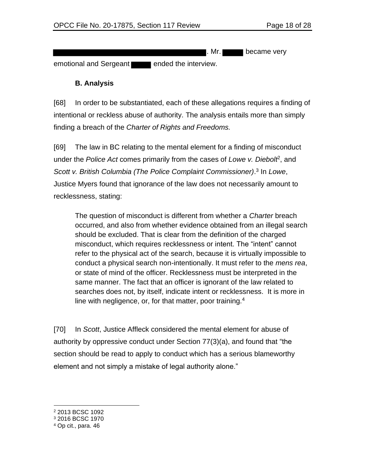. Mr. became very

emotional and Sergeant ended the interview.

## **B. Analysis**

[68] In order to be substantiated, each of these allegations requires a finding of intentional or reckless abuse of authority. The analysis entails more than simply finding a breach of the *Charter of Rights and Freedoms.*

[69] The law in BC relating to the mental element for a finding of misconduct under the Police Act comes primarily from the cases of Lowe v. Diebolt<sup>2</sup>, and *Scott v. British Columbia (The Police Complaint Commissioner)*. 3 In *Lowe*, Justice Myers found that ignorance of the law does not necessarily amount to recklessness, stating:

The question of misconduct is different from whether a *Charter* breach occurred, and also from whether evidence obtained from an illegal search should be excluded. That is clear from the definition of the charged misconduct, which requires recklessness or intent. The "intent" cannot refer to the physical act of the search, because it is virtually impossible to conduct a physical search non-intentionally. It must refer to the *mens rea*, or state of mind of the officer. Recklessness must be interpreted in the same manner. The fact that an officer is ignorant of the law related to searches does not, by itself, indicate intent or recklessness. It is more in line with negligence, or, for that matter, poor training.<sup>4</sup>

[70] In *Scott*, Justice Affleck considered the mental element for abuse of authority by oppressive conduct under Section 77(3)(a), and found that "the section should be read to apply to conduct which has a serious blameworthy element and not simply a mistake of legal authority alone."

<sup>2</sup> 2013 BCSC 1092

<sup>3</sup> 2016 BCSC 1970

<sup>4</sup> Op cit., para. 46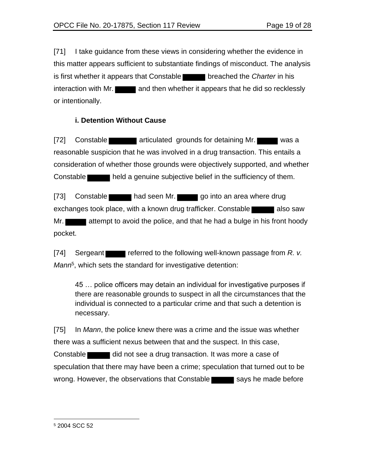[71] I take guidance from these views in considering whether the evidence in this matter appears sufficient to substantiate findings of misconduct. The analysis is first whether it appears that Constable breached the *Charter* in his interaction with Mr. or intentionally.

# **i. Detention Without Cause**

[72] Constable **articulated** grounds for detaining Mr. reasonable suspicion that he was involved in a drug transaction. This entails a consideration of whether those grounds were objectively supported, and whether Constable **held a genuine subjective belief in the sufficiency of them.** 

[73] Constable had seen Mr. go into an area where drug exchanges took place, with a known drug trafficker. Constable Mr. **attempt to avoid the police, and that he had a bulge in his front hoody** pocket.

[74] Sergeant referred to the following well-known passage from *R. v.* Mann<sup>5</sup>, which sets the standard for investigative detention:

45 … police officers may detain an individual for investigative purposes if there are reasonable grounds to suspect in all the circumstances that the individual is connected to a particular crime and that such a detention is necessary.

[75] In *Mann*, the police knew there was a crime and the issue was whether there was a sufficient nexus between that and the suspect. In this case, Constable did not see a drug transaction. It was more a case of speculation that there may have been a crime; speculation that turned out to be wrong. However, the observations that Constable says he made before

<sup>5</sup> 2004 SCC 52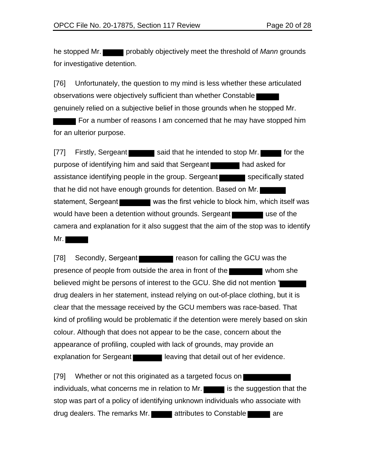he stopped Mr. probably objectively meet the threshold of *Mann* grounds for investigative detention.

[76] Unfortunately, the question to my mind is less whether these articulated observations were objectively sufficient than whether Constable genuinely relied on a subjective belief in those grounds when he stopped Mr.

For a number of reasons I am concerned that he may have stopped him for an ulterior purpose.

[77] Firstly, Sergeant said that he intended to stop Mr. **For the same intended** to stop Mr. purpose of identifying him and said that Sergeant had asked for assistance identifying people in the group. Sergeant specifically stated that he did not have enough grounds for detention. Based on Mr. statement, Sergeant was the first vehicle to block him, which itself was would have been a detention without grounds. Sergeant camera and explanation for it also suggest that the aim of the stop was to identify Mr.  $\blacksquare$ 

[78] Secondly, Sergeant reason for calling the GCU was the presence of people from outside the area in front of the believed might be persons of interest to the GCU. She did not mention " drug dealers in her statement, instead relying on out-of-place clothing, but it is clear that the message received by the GCU members was race-based. That kind of profiling would be problematic if the detention were merely based on skin colour. Although that does not appear to be the case, concern about the appearance of profiling, coupled with lack of grounds, may provide an explanation for Sergeant **leaving that detail out of her evidence.** 

[79] Whether or not this originated as a targeted focus on individuals, what concerns me in relation to Mr. stop was part of a policy of identifying unknown individuals who associate with drug dealers. The remarks Mr. **The attributes to Constable are** are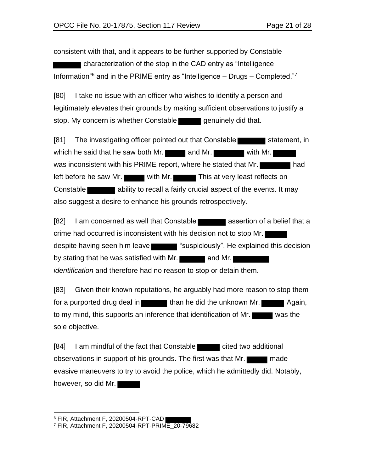consistent with that, and it appears to be further supported by Constable

characterization of the stop in the CAD entry as "Intelligence Information"<sup>6</sup> and in the PRIME entry as "Intelligence – Drugs – Completed."<sup>7</sup>

[80] I take no issue with an officer who wishes to identify a person and legitimately elevates their grounds by making sufficient observations to justify a stop. My concern is whether Constable **genuinely did that.** 

[81] The investigating officer pointed out that Constable statement, in which he said that he saw both Mr.  $\blacksquare$  and Mr. with Mr. was inconsistent with his PRIME report, where he stated that Mr. left before he saw Mr. with Mr. This at very least reflects on Constable **ability to recall a fairly crucial aspect of the events.** It may also suggest a desire to enhance his grounds retrospectively.

 $[82]$  I am concerned as well that Constable **and a**ssertion of a belief that a crime had occurred is inconsistent with his decision not to stop Mr. despite having seen him leave "suspiciously". He explained this decision by stating that he was satisfied with Mr.  $\blacksquare$  and Mr. *identification* and therefore had no reason to stop or detain them.

[83] Given their known reputations, he arguably had more reason to stop them for a purported drug deal in than he did the unknown Mr. **Again,** to my mind, this supports an inference that identification of Mr. sole objective.

[84] I am mindful of the fact that Constable cited two additional observations in support of his grounds. The first was that Mr. evasive maneuvers to try to avoid the police, which he admittedly did. Notably, however, so did Mr.

<sup>&</sup>lt;sup>6</sup> FIR, Attachment F, 20200504-RPT-CAD |

<sup>7</sup> FIR, Attachment F, 20200504-RPT-PRIME\_20-79682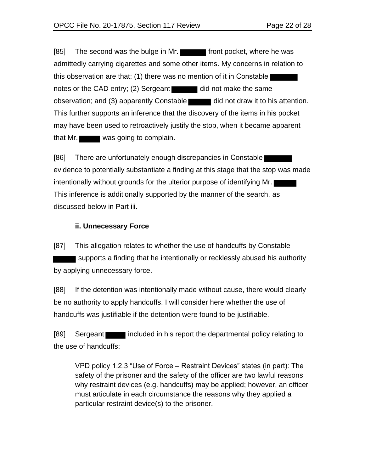[85] The second was the bulge in Mr. front pocket, where he was admittedly carrying cigarettes and some other items. My concerns in relation to this observation are that: (1) there was no mention of it in Constable notes or the CAD entry; (2) Sergeant did not make the same observation; and (3) apparently Constable did not draw it to his attention. This further supports an inference that the discovery of the items in his pocket may have been used to retroactively justify the stop, when it became apparent that Mr. was going to complain.

[86] There are unfortunately enough discrepancies in Constable evidence to potentially substantiate a finding at this stage that the stop was made intentionally without grounds for the ulterior purpose of identifying Mr. This inference is additionally supported by the manner of the search, as discussed below in Part iii.

### **ii. Unnecessary Force**

[87] This allegation relates to whether the use of handcuffs by Constable supports a finding that he intentionally or recklessly abused his authority by applying unnecessary force.

[88] If the detention was intentionally made without cause, there would clearly be no authority to apply handcuffs. I will consider here whether the use of handcuffs was justifiable if the detention were found to be justifiable.

[89] Sergeant included in his report the departmental policy relating to the use of handcuffs:

VPD policy 1.2.3 "Use of Force – Restraint Devices" states (in part): The safety of the prisoner and the safety of the officer are two lawful reasons why restraint devices (e.g. handcuffs) may be applied; however, an officer must articulate in each circumstance the reasons why they applied a particular restraint device(s) to the prisoner.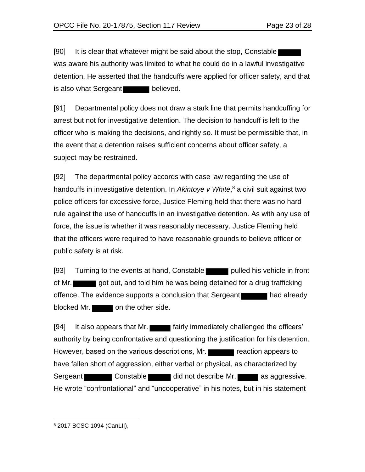[90] It is clear that whatever might be said about the stop, Constable was aware his authority was limited to what he could do in a lawful investigative detention. He asserted that the handcuffs were applied for officer safety, and that is also what Sergeant **believed**.

[91] Departmental policy does not draw a stark line that permits handcuffing for arrest but not for investigative detention. The decision to handcuff is left to the officer who is making the decisions, and rightly so. It must be permissible that, in the event that a detention raises sufficient concerns about officer safety, a subject may be restrained.

[92] The departmental policy accords with case law regarding the use of handcuffs in investigative detention. In *Akintoye v White*, <sup>8</sup> a civil suit against two police officers for excessive force, Justice Fleming held that there was no hard rule against the use of handcuffs in an investigative detention. As with any use of force, the issue is whether it was reasonably necessary. Justice Fleming held that the officers were required to have reasonable grounds to believe officer or public safety is at risk.

[93] Turning to the events at hand, Constable pulled his vehicle in front of Mr. got out, and told him he was being detained for a drug trafficking offence. The evidence supports a conclusion that Sergeant had already blocked Mr.  $\Box$  on the other side.

[94] It also appears that Mr. **Failum** fairly immediately challenged the officers' authority by being confrontative and questioning the justification for his detention. However, based on the various descriptions, Mr. have fallen short of aggression, either verbal or physical, as characterized by Sergeant Constable did not describe Mr. as aggressive. He wrote "confrontational" and "uncooperative" in his notes, but in his statement

<sup>8</sup> 2017 BCSC 1094 (CanLII),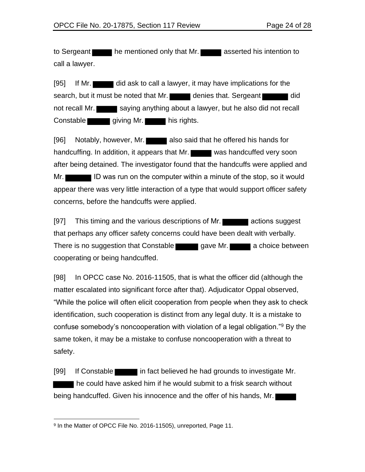to Sergeant he mentioned only that Mr. **Example 3** asserted his intention to call a lawyer.

[95] If Mr. did ask to call a lawyer, it may have implications for the search, but it must be noted that Mr. denies that. Sergeant not recall Mr. saying anything about a lawyer, but he also did not recall Constable giving Mr. his rights.

[96] Notably, however, Mr. also said that he offered his hands for handcuffing. In addition, it appears that Mr. was handcuffed very soon after being detained. The investigator found that the handcuffs were applied and Mr. ID was run on the computer within a minute of the stop, so it would appear there was very little interaction of a type that would support officer safety concerns, before the handcuffs were applied.

[97] This timing and the various descriptions of Mr. **The actions suggest** that perhaps any officer safety concerns could have been dealt with verbally. There is no suggestion that Constable gave Mr. **Figure 1** a choice between cooperating or being handcuffed.

[98] In OPCC case No. 2016-11505, that is what the officer did (although the matter escalated into significant force after that). Adjudicator Oppal observed, "While the police will often elicit cooperation from people when they ask to check identification, such cooperation is distinct from any legal duty. It is a mistake to confuse somebody's noncooperation with violation of a legal obligation."<sup>9</sup> By the same token, it may be a mistake to confuse noncooperation with a threat to safety.

[99] If Constable in fact believed he had grounds to investigate Mr. he could have asked him if he would submit to a frisk search without being handcuffed. Given his innocence and the offer of his hands, Mr.

<sup>9</sup> In the Matter of OPCC File No. 2016-11505), unreported, Page 11.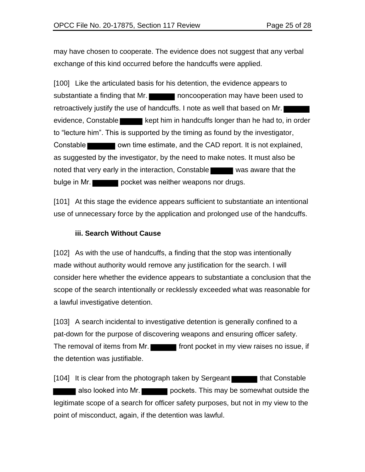may have chosen to cooperate. The evidence does not suggest that any verbal exchange of this kind occurred before the handcuffs were applied.

[100] Like the articulated basis for his detention, the evidence appears to substantiate a finding that Mr. retroactively justify the use of handcuffs. I note as well that based on Mr. evidence, Constable kept him in handcuffs longer than he had to, in order to "lecture him". This is supported by the timing as found by the investigator, Constable **constable** own time estimate, and the CAD report. It is not explained, as suggested by the investigator, by the need to make notes. It must also be noted that very early in the interaction, Constable was aware that the bulge in Mr.

[101] At this stage the evidence appears sufficient to substantiate an intentional use of unnecessary force by the application and prolonged use of the handcuffs.

#### **iii. Search Without Cause**

[102] As with the use of handcuffs, a finding that the stop was intentionally made without authority would remove any justification for the search. I will consider here whether the evidence appears to substantiate a conclusion that the scope of the search intentionally or recklessly exceeded what was reasonable for a lawful investigative detention.

[103] A search incidental to investigative detention is generally confined to a pat-down for the purpose of discovering weapons and ensuring officer safety. The removal of items from Mr. **Figure 1** front pocket in my view raises no issue, if the detention was justifiable.

 $[104]$  It is clear from the photograph taken by Sergeant that Constable also looked into Mr. **pockets.** This may be somewhat outside the legitimate scope of a search for officer safety purposes, but not in my view to the point of misconduct, again, if the detention was lawful.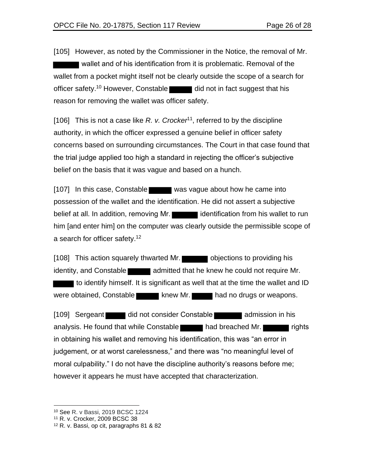[105] However, as noted by the Commissioner in the Notice, the removal of Mr. wallet and of his identification from it is problematic. Removal of the wallet from a pocket might itself not be clearly outside the scope of a search for officer safety.<sup>10</sup> However, Constable did not in fact suggest that his reason for removing the wallet was officer safety.

[106] This is not a case like R. v. Crocker<sup>11</sup>, referred to by the discipline authority, in which the officer expressed a genuine belief in officer safety concerns based on surrounding circumstances. The Court in that case found that the trial judge applied too high a standard in rejecting the officer's subjective belief on the basis that it was vague and based on a hunch.

[107] In this case, Constable was vague about how he came into possession of the wallet and the identification. He did not assert a subjective belief at all. In addition, removing Mr. in according to run identification from his wallet to run him [and enter him] on the computer was clearly outside the permissible scope of a search for officer safety.<sup>12</sup>

[108] This action squarely thwarted Mr. objections to providing his identity, and Constable **and admitted that he knew he could not require Mr.**  to identify himself. It is significant as well that at the time the wallet and ID were obtained, Constable knew Mr. had no drugs or weapons.

[109] Sergeant did not consider Constable admission in his analysis. He found that while Constable had breached Mr. in obtaining his wallet and removing his identification, this was "an error in judgement, or at worst carelessness," and there was "no meaningful level of moral culpability." I do not have the discipline authority's reasons before me; however it appears he must have accepted that characterization.

<sup>10</sup> See R. v Bassi, 2019 BCSC 1224

<sup>11</sup> R. v. Crocker, 2009 BCSC 38

<sup>12</sup> R. v. Bassi, op cit, paragraphs 81 & 82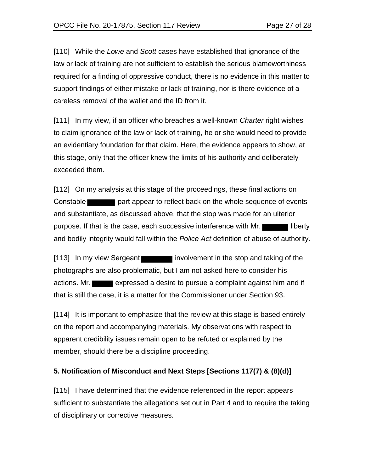[110] While the *Lowe* and *Scott* cases have established that ignorance of the law or lack of training are not sufficient to establish the serious blameworthiness required for a finding of oppressive conduct, there is no evidence in this matter to support findings of either mistake or lack of training, nor is there evidence of a careless removal of the wallet and the ID from it.

[111] In my view, if an officer who breaches a well-known *Charter* right wishes to claim ignorance of the law or lack of training, he or she would need to provide an evidentiary foundation for that claim. Here, the evidence appears to show, at this stage, only that the officer knew the limits of his authority and deliberately exceeded them.

[112] On my analysis at this stage of the proceedings, these final actions on Constable **part appear to reflect back on the whole sequence of events** and substantiate, as discussed above, that the stop was made for an ulterior purpose. If that is the case, each successive interference with Mr. and bodily integrity would fall within the *Police Act* definition of abuse of authority.

[113] In my view Sergeant involvement in the stop and taking of the photographs are also problematic, but I am not asked here to consider his actions. Mr. expressed a desire to pursue a complaint against him and if that is still the case, it is a matter for the Commissioner under Section 93.

[114] It is important to emphasize that the review at this stage is based entirely on the report and accompanying materials. My observations with respect to apparent credibility issues remain open to be refuted or explained by the member, should there be a discipline proceeding.

# **5. Notification of Misconduct and Next Steps [Sections 117(7) & (8)(d)]**

[115] I have determined that the evidence referenced in the report appears sufficient to substantiate the allegations set out in Part 4 and to require the taking of disciplinary or corrective measures.